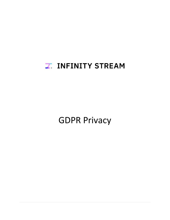# **Z. INFINITY STREAM**

GDPR Privacy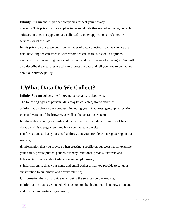**Infinity Stream** and its partner companies respect your privacy concerns. This privacy notice applies to personal data that we collect using portable software. It does not apply to data collected by other applications, websites or services, or its affiliates.

In this privacy notice, we describe the types of data collected, how we can use the data, how long we can store it, with whom we can share it, as well as options available to you regarding our use of the data and the exercise of your rights. We will also describe the measures we take to protect the data and tell you how to contact us about our privacy policy.

## **1.What Data Do We Collect?**

**Infinity Stream** collects the following personal data about you:

The following types of personal data may be collected, stored and used:

**a.** information about your computer, including your IP address, geographic location,

type and version of the browser, as well as the operating system;

**b.** information about your visits and use of this site, including the source of links,

duration of visit, page views and how you navigate the site;

**c.** information, such as your email address, that you provide when registering on our website;

**d.** information that you provide when creating a profile on our website, for example, your name, profile photos, gender, birthday, relationship status, interests and hobbies, information about education and employment;

**e.** information, such as your name and email address, that you provide to set up a subscription to our emails and / or newsletters;

**f.** information that you provide when using the services on our website;

**g.** information that is generated when using our site, including when, how often and under what circumstances you use it;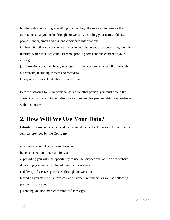**h.** information regarding everything that you buy, the services you use, or the transactions that you make through our website, including your name, address, phone number, email address, and credit card information;

**i.** information that you post on our website with the intention of publishing it on the Internet, which includes your username, profile photos and the content of your messages;

**j.** information contained in any messages that you send to us by email or through our website, including content and metadata;

**k.** any other personal data that you send to us.

Before disclosing to us the personal data of another person, you must obtain the consent of that person to both disclose and process this personal data in accordance with this Policy.

## **2. How Will We Use Your Data?**

**Infinity Stream** collects data and the personal data collected is used to improve the services provided by **the Company**.

**a.** administration of our site and business;

**b.** personalization of our site for you;

**c.** providing you with the opportunity to use the services available on our website;

**d.** sending you goods purchased through our website;

**e.** delivery of services purchased through our website;

**f.** sending you statements, invoices, and payment reminders, as well as collecting payments from you;

**g.** sending you non-market commercial messages;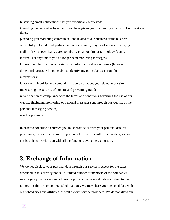**h.** sending email notifications that you specifically requested;

**i.** sending the newsletter by email if you have given your consent (you can unsubscribe at any time);

**j.** sending you marketing communications related to our business or the business of carefully selected third parties that, in our opinion, may be of interest to you, by mail or, if you specifically agree to this, by email or similar technology (you can inform us at any time if you no longer need marketing messages);

**k.** providing third parties with statistical information about our users (however, these third parties will not be able to identify any particular user from this information);

**l.** work with inquiries and complaints made by or about you related to our site; **m.** ensuring the security of our site and preventing fraud;

**n.** verification of compliance with the terms and conditions governing the use of our website (including monitoring of personal messages sent through our website of the personal messaging service);

**o.** other purposes.

In order to conclude a contract, you must provide us with your personal data for processing, as described above. If you do not provide us with personal data, we will not be able to provide you with all the functions available via the site.

# **3. Exchange of Information**

We do not disclose your personal data through our services, except for the cases described in this privacy notice. A limited number of members of the company's service group can access and otherwise process the personal data according to their job responsibilities or contractual obligations. We may share your personal data with our subsidiaries and affiliates, as well as with service providers. We do not allow our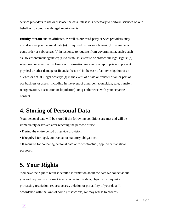service providers to use or disclose the data unless it is necessary to perform services on our behalf or to comply with legal requirements.

**Infinity Stream** and its affiliates, as well as our third-party service providers, may also disclose your personal data (a) if required by law or a lawsuit (for example, a court order or subpoena); (b) in response to requests from government agencies such as law enforcement agencies; (c) to establish, exercise or protect our legal rights; (d) when we consider the disclosure of information necessary or appropriate to prevent physical or other damage or financial loss; (e) in the case of an investigation of an alleged or actual illegal activity; (f) in the event of a sale or transfer of all or part of our business or assets (including in the event of a merger, acquisition, sale, transfer, reorganization, dissolution or liquidation); or (g) otherwise, with your separate consent.

#### **4. Storing of Personal Data**

Your personal data will be stored if the following conditions are met and will be immediately destroyed after reaching the purpose of use.

- During the entire period of service provision;
- If required for legal, contractual or statutory obligations;

• If required for collecting personal data or for contractual, applied or statistical purposes.

# **5. Your Rights**

You have the right to request detailed information about the data we collect about you and require us to correct inaccuracies in this data, object to or request a processing restriction, request access, deletion or portability of your data. In accordance with the laws of some jurisdictions, we may refuse to process